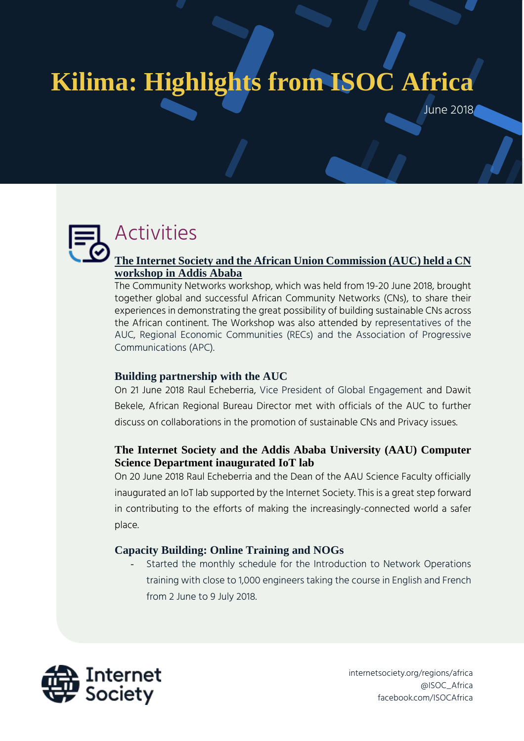# **Kilima: Highlights from ISOC Africa**

June 2018

## Activities

#### **[The Internet Society and the African Union Commission \(AUC\) held a CN](https://www.internetsociety.org/events/community-networks-workshop/)  [workshop in Addis Ababa](https://www.internetsociety.org/events/community-networks-workshop/)**

The Community Networks workshop, which was held from 19-20 June 2018, brought together global and successful African Community Networks (CNs), to share their experiences in demonstrating the great possibility of building sustainable CNs across the African continent. The Workshop was also attended by representatives of the AUC, Regional Economic Communities (RECs) and the Association of Progressive Communications (APC).

#### **Building partnership with the AUC**

On 21 June 2018 Raul Echeberria, Vice President of Global Engagement and Dawit Bekele, African Regional Bureau Director met with officials of the AUC to further discuss on collaborations in the promotion of sustainable CNs and Privacy issues.

#### **The Internet Society and the Addis Ababa University (AAU) Computer Science Department inaugurated IoT lab**

On 20 June 2018 Raul Echeberria and the Dean of the AAU Science Faculty officially inaugurated an IoT lab supported by the Internet Society. This is a great step forward in contributing to the efforts of making the increasingly-connected world a safer place.

#### **Capacity Building: Online Training and NOGs**

Started the monthly schedule for the Introduction to Network Operations training with close to 1,000 engineers taking the course in English and French from 2 June to 9 July 2018.